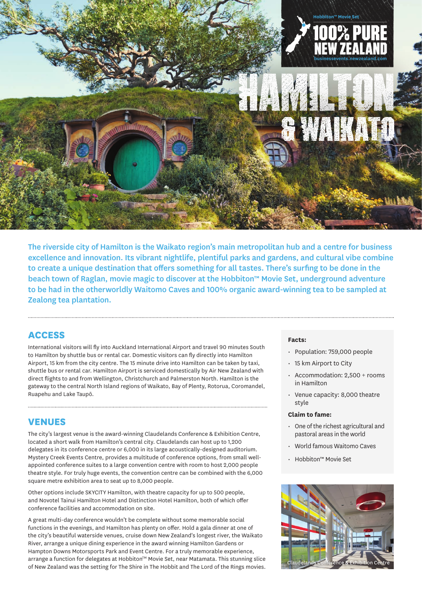# **businessevents.newzealand.com Hobbiton™ Movie Set**

The riverside city of Hamilton is the Waikato region's main metropolitan hub and a centre for business excellence and innovation. Its vibrant nightlife, plentiful parks and gardens, and cultural vibe combine to create a unique destination that offers something for all tastes. There's surfing to be done in the beach town of Raglan, movie magic to discover at the Hobbiton™ Movie Set, underground adventure to be had in the otherworldly Waitomo Caves and 100% organic award-winning tea to be sampled at Zealong tea plantation.

# **ACCESS**

International visitors will fly into Auckland International Airport and travel 90 minutes South to Hamilton by shuttle bus or rental car. Domestic visitors can fly directly into Hamilton Airport, 15 km from the city centre. The 15 minute drive into Hamilton can be taken by taxi, shuttle bus or rental car. Hamilton Airport is serviced domestically by Air New Zealand with direct flights to and from Wellington, Christchurch and Palmerston North. Hamilton is the gateway to the central North Island regions of Waikato, Bay of Plenty, Rotorua, Coromandel, Ruapehu and Lake Taupō.

# **VENUES**

The city's largest venue is the award-winning Claudelands Conference & Exhibition Centre, located a short walk from Hamilton's central city. Claudelands can host up to 1,200 delegates in its conference centre or 6,000 in its large acoustically-designed auditorium. Mystery Creek Events Centre, provides a multitude of conference options, from small wellappointed conference suites to a large convention centre with room to host 2,000 people theatre style. For truly huge events, the convention centre can be combined with the 6,000 square metre exhibition area to seat up to 8,000 people.

Other options include SKYCITY Hamilton, with theatre capacity for up to 500 people, and Novotel Tainui Hamilton Hotel and Distinction Hotel Hamilton, both of which offer conference facilities and accommodation on site.

A great multi-day conference wouldn't be complete without some memorable social functions in the evenings, and Hamilton has plenty on offer. Hold a gala dinner at one of the city's beautiful waterside venues, cruise down New Zealand's longest river, the Waikato River, arrange a unique dining experience in the award winning Hamilton Gardens or Hampton Downs Motorsports Park and Event Centre. For a truly memorable experience, arrange a function for delegates at Hobbiton™ Movie Set, near Matamata. This stunning slice of New Zealand was the setting for The Shire in The Hobbit and The Lord of the Rings movies.

### **Facts:**

- Population: 759,000 people
- 15 km Airport to City
- Accommodation: 2,500 + rooms in Hamilton
- Venue capacity: 8,000 theatre style

### **Claim to fame:**

- One of the richest agricultural and pastoral areas in the world
- World famous Waitomo Caves
- Hobbiton™ Movie Set